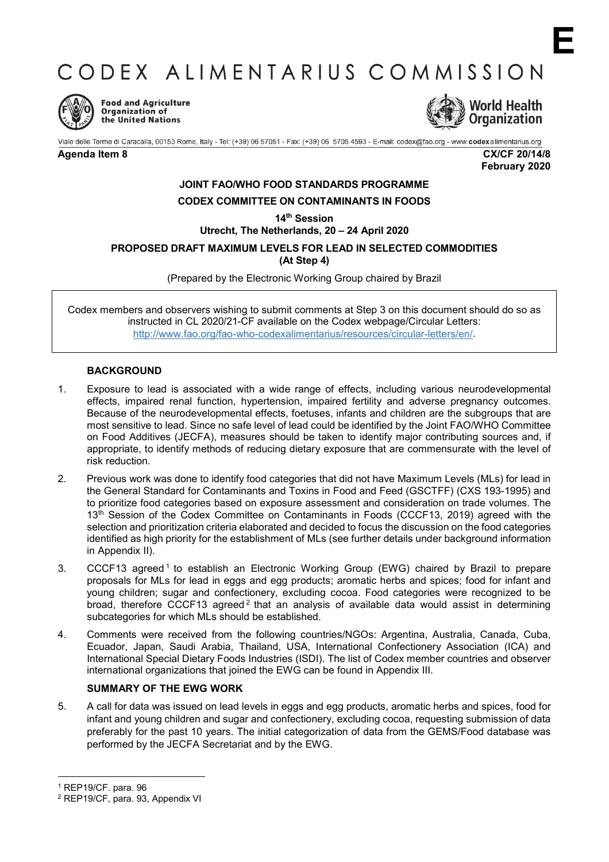CODEX ALIMENTARIUS COMMISSION



**Food and Agriculture** Organization of the United Nations



Viale delle Terme di Caracalla, 00153 Rome, Italy - Tel: (+39) 06 57051 - Fax: (+39) 06 5705 4593 - E-mail: codex@fao.org - www.codexalimentarius.org

**Agenda Item 8 CX/CF 20/14/8 February 2020**

**E**

# **JOINT FAO/WHO FOOD STANDARDS PROGRAMME CODEX COMMITTEE ON CONTAMINANTS IN FOODS**

**14th Session**

**Utrecht, The Netherlands, 20 – 24 April 2020**

**PROPOSED DRAFT MAXIMUM LEVELS FOR LEAD IN SELECTED COMMODITIES**

**(At Step 4)**

(Prepared by the Electronic Working Group chaired by Brazil

Codex members and observers wishing to submit comments at Step 3 on this document should do so as instructed in CL 2020/21-CF available on the Codex webpage/Circular Letters: [http://www.fao.org/fao-who-codexalimentarius/resources/circular-letters/en/.](http://www.fao.org/fao-who-codexalimentarius/resources/circular-letters/en/)

# **BACKGROUND**

- 1. Exposure to lead is associated with a wide range of effects, including various neurodevelopmental effects, impaired renal function, hypertension, impaired fertility and adverse pregnancy outcomes. Because of the neurodevelopmental effects, foetuses, infants and children are the subgroups that are most sensitive to lead. Since no safe level of lead could be identified by the Joint FAO/WHO Committee on Food Additives (JECFA), measures should be taken to identify major contributing sources and, if appropriate, to identify methods of reducing dietary exposure that are commensurate with the level of risk reduction.
- 2. Previous work was done to identify food categories that did not have Maximum Levels (MLs) for lead in the General Standard for Contaminants and Toxins in Food and Feed (GSCTFF) (CXS 193-1995) and to prioritize food categories based on exposure assessment and consideration on trade volumes. The 13<sup>th</sup> Session of the Codex Committee on Contaminants in Foods (CCCF13, 2019) agreed with the selection and prioritization criteria elaborated and decided to focus the discussion on the food categories identified as high priority for the establishment of MLs (see further details under background information in Appendix II).
- 3. CCCF[1](#page-0-0)3 agreed <sup>1</sup> to establish an Electronic Working Group (EWG) chaired by Brazil to prepare proposals for MLs for lead in eggs and egg products; aromatic herbs and spices; food for infant and young children; sugar and confectionery, excluding cocoa. Food categories were recognized to be broad, therefore CCCF13 agreed<sup>[2](#page-0-1)</sup> that an analysis of available data would assist in determining subcategories for which MLs should be established.
- 4. Comments were received from the following countries/NGOs: Argentina, Australia, Canada, Cuba, Ecuador, Japan, Saudi Arabia, Thailand, USA, International Confectionery Association (ICA) and International Special Dietary Foods Industries (ISDI). The list of Codex member countries and observer international organizations that joined the EWG can be found in Appendix III.

# **SUMMARY OF THE EWG WORK**

5. A call for data was issued on lead levels in eggs and egg products, aromatic herbs and spices, food for infant and young children and sugar and confectionery, excluding cocoa, requesting submission of data preferably for the past 10 years. The initial categorization of data from the GEMS/Food database was performed by the JECFA Secretariat and by the EWG.

 $\overline{a}$ 

<span id="page-0-0"></span><sup>1</sup> REP19/CF. para. 96

<span id="page-0-1"></span><sup>2</sup> REP19/CF, para. 93, Appendix VI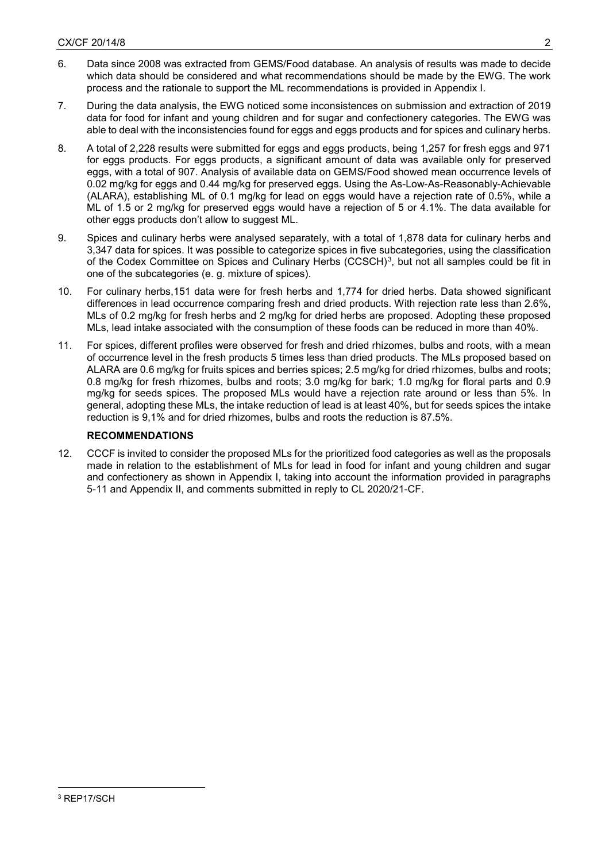- 6. Data since 2008 was extracted from GEMS/Food database. An analysis of results was made to decide which data should be considered and what recommendations should be made by the EWG. The work process and the rationale to support the ML recommendations is provided in Appendix I.
- 7. During the data analysis, the EWG noticed some inconsistences on submission and extraction of 2019 data for food for infant and young children and for sugar and confectionery categories. The EWG was able to deal with the inconsistencies found for eggs and eggs products and for spices and culinary herbs.
- 8. A total of 2,228 results were submitted for eggs and eggs products, being 1,257 for fresh eggs and 971 for eggs products. For eggs products, a significant amount of data was available only for preserved eggs, with a total of 907. Analysis of available data on GEMS/Food showed mean occurrence levels of 0.02 mg/kg for eggs and 0.44 mg/kg for preserved eggs. Using the As-Low-As-Reasonably-Achievable (ALARA), establishing ML of 0.1 mg/kg for lead on eggs would have a rejection rate of 0.5%, while a ML of 1.5 or 2 mg/kg for preserved eggs would have a rejection of 5 or 4.1%. The data available for other eggs products don't allow to suggest ML.
- 9. Spices and culinary herbs were analysed separately, with a total of 1,878 data for culinary herbs and 3,347 data for spices. It was possible to categorize spices in five subcategories, using the classification of the Codex Committee on Spices and Culinary Herbs (CCSCH)<sup>3</sup>, but not all samples could be fit in one of the subcategories (e. g. mixture of spices).
- 10. For culinary herbs,151 data were for fresh herbs and 1,774 for dried herbs. Data showed significant differences in lead occurrence comparing fresh and dried products. With rejection rate less than 2.6%, MLs of 0.2 mg/kg for fresh herbs and 2 mg/kg for dried herbs are proposed. Adopting these proposed MLs, lead intake associated with the consumption of these foods can be reduced in more than 40%.
- 11. For spices, different profiles were observed for fresh and dried rhizomes, bulbs and roots, with a mean of occurrence level in the fresh products 5 times less than dried products. The MLs proposed based on ALARA are 0.6 mg/kg for fruits spices and berries spices; 2.5 mg/kg for dried rhizomes, bulbs and roots; 0.8 mg/kg for fresh rhizomes, bulbs and roots; 3.0 mg/kg for bark; 1.0 mg/kg for floral parts and 0.9 mg/kg for seeds spices. The proposed MLs would have a rejection rate around or less than 5%. In general, adopting these MLs, the intake reduction of lead is at least 40%, but for seeds spices the intake reduction is 9,1% and for dried rhizomes, bulbs and roots the reduction is 87.5%.

# **RECOMMENDATIONS**

<span id="page-1-0"></span>12. CCCF is invited to consider the proposed MLs for the prioritized food categories as well as the proposals made in relation to the establishment of MLs for lead in food for infant and young children and sugar and confectionery as shown in Appendix I, taking into account the information provided in paragraphs 5-11 and Appendix II, and comments submitted in reply to CL 2020/21-CF.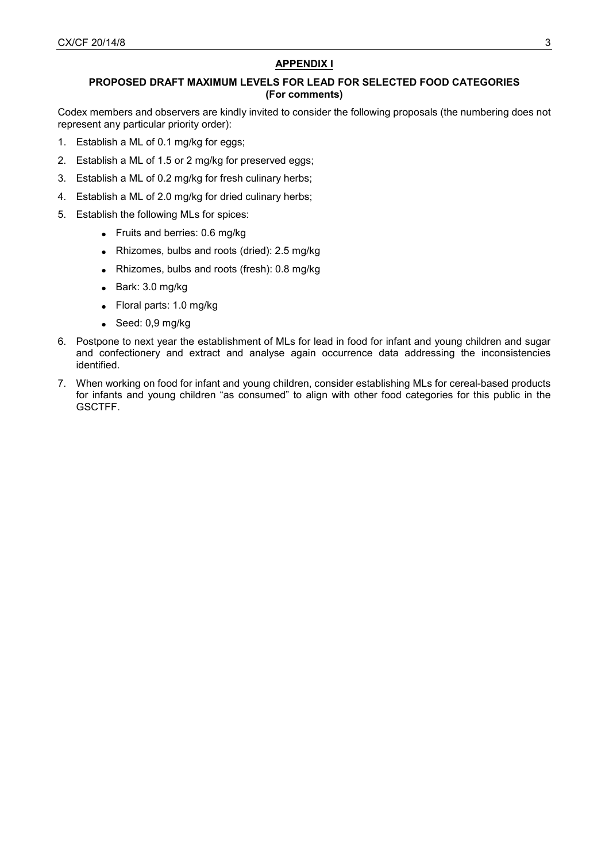# **APPENDIX I**

# **PROPOSED DRAFT MAXIMUM LEVELS FOR LEAD FOR SELECTED FOOD CATEGORIES (For comments)**

Codex members and observers are kindly invited to consider the following proposals (the numbering does not represent any particular priority order):

- 1. Establish a ML of 0.1 mg/kg for eggs;
- 2. Establish a ML of 1.5 or 2 mg/kg for preserved eggs;
- 3. Establish a ML of 0.2 mg/kg for fresh culinary herbs;
- 4. Establish a ML of 2.0 mg/kg for dried culinary herbs;
- 5. Establish the following MLs for spices:
	- Fruits and berries: 0.6 mg/kg
		- Rhizomes, bulbs and roots (dried): 2.5 mg/kg
		- Rhizomes, bulbs and roots (fresh): 0.8 mg/kg
		- Bark: 3.0 mg/kg
		- Floral parts: 1.0 mg/kg
		- Seed: 0,9 mg/kg
- 6. Postpone to next year the establishment of MLs for lead in food for infant and young children and sugar and confectionery and extract and analyse again occurrence data addressing the inconsistencies identified.
- 7. When working on food for infant and young children, consider establishing MLs for cereal-based products for infants and young children "as consumed" to align with other food categories for this public in the GSCTFF.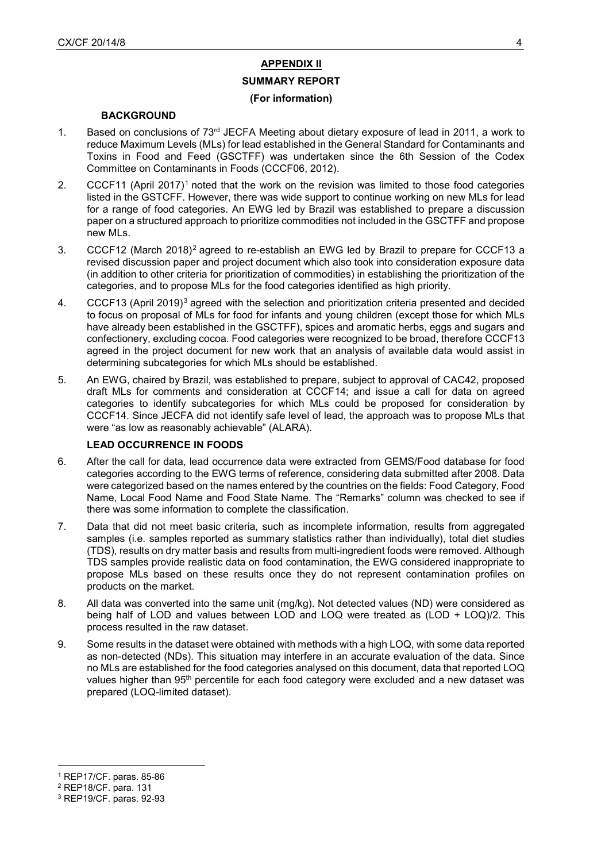# **APPENDIX II**

# **SUMMARY REPORT (For information)**

### **BACKGROUND**

- 1. Based on conclusions of  $73<sup>rd</sup>$  JECFA Meeting about dietary exposure of lead in 2011, a work to reduce Maximum Levels (MLs) for lead established in the General Standard for Contaminants and Toxins in Food and Feed (GSCTFF) was undertaken since the 6th Session of the Codex Committee on Contaminants in Foods (CCCF06, 2012).
- 2. CCCF[1](#page-3-0)1 (April 2017)<sup>1</sup> noted that the work on the revision was limited to those food categories listed in the GSTCFF. However, there was wide support to continue working on new MLs for lead for a range of food categories. An EWG led by Brazil was established to prepare a discussion paper on a structured approach to prioritize commodities not included in the GSCTFF and propose new MLs.
- 3. CCCF12 (March 2018)[2](#page-3-1) agreed to re-establish an EWG led by Brazil to prepare for CCCF13 a revised discussion paper and project document which also took into consideration exposure data (in addition to other criteria for prioritization of commodities) in establishing the prioritization of the categories, and to propose MLs for the food categories identified as high priority.
- 4. CCCF1[3](#page-3-2) (April 2019)<sup>3</sup> agreed with the selection and prioritization criteria presented and decided to focus on proposal of MLs for food for infants and young children (except those for which MLs have already been established in the GSCTFF), spices and aromatic herbs, eggs and sugars and confectionery, excluding cocoa. Food categories were recognized to be broad, therefore CCCF13 agreed in the project document for new work that an analysis of available data would assist in determining subcategories for which MLs should be established.
- 5. An EWG, chaired by Brazil, was established to prepare, subject to approval of CAC42, proposed draft MLs for comments and consideration at CCCF14; and issue a call for data on agreed categories to identify subcategories for which MLs could be proposed for consideration by CCCF14. Since JECFA did not identify safe level of lead, the approach was to propose MLs that were "as low as reasonably achievable" (ALARA).

# **LEAD OCCURRENCE IN FOODS**

- 6. After the call for data, lead occurrence data were extracted from GEMS/Food database for food categories according to the EWG terms of reference, considering data submitted after 2008. Data were categorized based on the names entered by the countries on the fields: Food Category, Food Name, Local Food Name and Food State Name. The "Remarks" column was checked to see if there was some information to complete the classification.
- 7. Data that did not meet basic criteria, such as incomplete information, results from aggregated samples (i.e. samples reported as summary statistics rather than individually), total diet studies (TDS), results on dry matter basis and results from multi-ingredient foods were removed. Although TDS samples provide realistic data on food contamination, the EWG considered inappropriate to propose MLs based on these results once they do not represent contamination profiles on products on the market.
- 8. All data was converted into the same unit (mg/kg). Not detected values (ND) were considered as being half of LOD and values between LOD and LOQ were treated as (LOD + LOQ)/2. This process resulted in the raw dataset.
- 9. Some results in the dataset were obtained with methods with a high LOQ, with some data reported as non-detected (NDs). This situation may interfere in an accurate evaluation of the data. Since no MLs are established for the food categories analysed on this document, data that reported LOQ values higher than 95<sup>th</sup> percentile for each food category were excluded and a new dataset was prepared (LOQ-limited dataset).

 $\overline{a}$ 

<span id="page-3-0"></span><sup>1</sup> REP17/CF. paras. 85-86

<span id="page-3-1"></span><sup>2</sup> REP18/CF. para. 131

<span id="page-3-2"></span><sup>3</sup> REP19/CF. paras. 92-93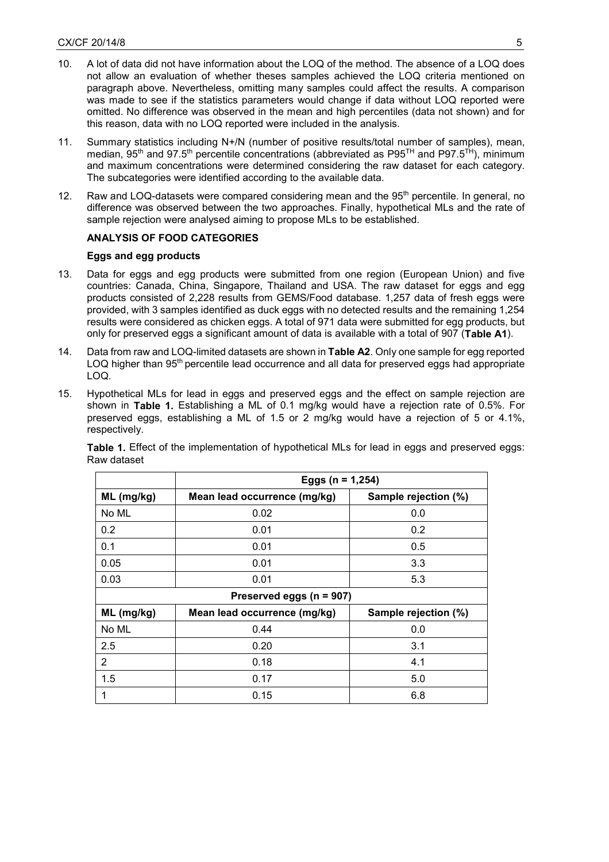- 10. A lot of data did not have information about the LOQ of the method. The absence of a LOQ does not allow an evaluation of whether theses samples achieved the LOQ criteria mentioned on paragraph above. Nevertheless, omitting many samples could affect the results. A comparison was made to see if the statistics parameters would change if data without LOQ reported were omitted. No difference was observed in the mean and high percentiles (data not shown) and for this reason, data with no LOQ reported were included in the analysis.
- 11. Summary statistics including N+/N (number of positive results/total number of samples), mean, median, 95<sup>th</sup> and 97.5<sup>th</sup> percentile concentrations (abbreviated as P95<sup>TH</sup> and P97.5<sup>TH</sup>), minimum and maximum concentrations were determined considering the raw dataset for each category. The subcategories were identified according to the available data.
- 12. Raw and LOQ-datasets were compared considering mean and the 95<sup>th</sup> percentile. In general, no difference was observed between the two approaches. Finally, hypothetical MLs and the rate of sample rejection were analysed aiming to propose MLs to be established.

# **ANALYSIS OF FOOD CATEGORIES**

## **Eggs and egg products**

- 13. Data for eggs and egg products were submitted from one region (European Union) and five countries: Canada, China, Singapore, Thailand and USA. The raw dataset for eggs and egg products consisted of 2,228 results from GEMS/Food database. 1,257 data of fresh eggs were provided, with 3 samples identified as duck eggs with no detected results and the remaining 1,254 results were considered as chicken eggs. A total of 971 data were submitted for egg products, but only for preserved eggs a significant amount of data is available with a total of 907 (**Table A1**).
- 14. Data from raw and LOQ-limited datasets are shown in **Table A2**. Only one sample for egg reported LOQ higher than 95<sup>th</sup> percentile lead occurrence and all data for preserved eggs had appropriate LOQ.
- 15. Hypothetical MLs for lead in eggs and preserved eggs and the effect on sample rejection are shown in **Table 1.** Establishing a ML of 0.1 mg/kg would have a rejection rate of 0.5%. For preserved eggs, establishing a ML of 1.5 or 2 mg/kg would have a rejection of 5 or 4.1%, respectively.

|                | Eggs ( $n = 1,254$ )         |                      |  |  |  |  |  |  |  |  |
|----------------|------------------------------|----------------------|--|--|--|--|--|--|--|--|
| ML (mg/kg)     | Mean lead occurrence (mg/kg) | Sample rejection (%) |  |  |  |  |  |  |  |  |
| No ML          | 0.02                         | 0.0                  |  |  |  |  |  |  |  |  |
| 0.2            | 0.01                         | 0.2                  |  |  |  |  |  |  |  |  |
| 0.1            | 0.01                         | 0.5                  |  |  |  |  |  |  |  |  |
| 0.05           | 0.01                         | 3.3                  |  |  |  |  |  |  |  |  |
| 0.03           | 0.01                         | 5.3                  |  |  |  |  |  |  |  |  |
|                | Preserved eggs (n = 907)     |                      |  |  |  |  |  |  |  |  |
| ML (mg/kg)     | Mean lead occurrence (mg/kg) | Sample rejection (%) |  |  |  |  |  |  |  |  |
| No ML          | 0.44                         | 0.0                  |  |  |  |  |  |  |  |  |
| 2.5            | 0.20                         | 3.1                  |  |  |  |  |  |  |  |  |
| $\overline{2}$ | 0.18                         | 4.1                  |  |  |  |  |  |  |  |  |
| 1.5            | 0.17                         | 5.0                  |  |  |  |  |  |  |  |  |
|                | 0.15                         | 6.8                  |  |  |  |  |  |  |  |  |

**Table 1.** Effect of the implementation of hypothetical MLs for lead in eggs and preserved eggs: Raw dataset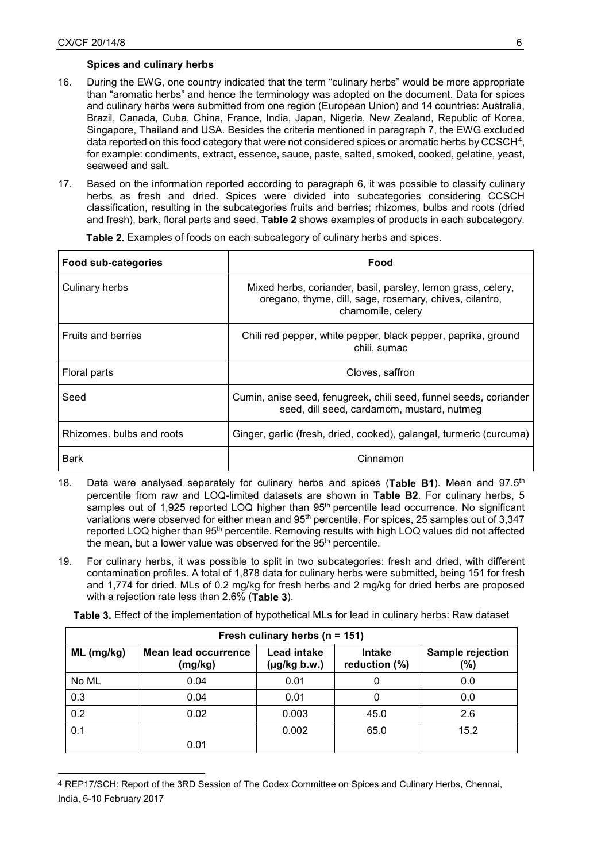$\overline{a}$ 

# **Spices and culinary herbs**

- 16. During the EWG, one country indicated that the term "culinary herbs" would be more appropriate than "aromatic herbs" and hence the terminology was adopted on the document. Data for spices and culinary herbs were submitted from one region (European Union) and 14 countries: Australia, Brazil, Canada, Cuba, China, France, India, Japan, Nigeria, New Zealand, Republic of Korea, Singapore, Thailand and USA. Besides the criteria mentioned in paragraph 7, the EWG excluded data reported on this food category that were not considered spices or aromatic herbs by CCSCH<sup>[4](#page-5-0)</sup>, for example: condiments, extract, essence, sauce, paste, salted, smoked, cooked, gelatine, yeast, seaweed and salt.
- 17. Based on the information reported according to paragraph 6, it was possible to classify culinary herbs as fresh and dried. Spices were divided into subcategories considering CCSCH classification, resulting in the subcategories fruits and berries; rhizomes, bulbs and roots (dried and fresh), bark, floral parts and seed. **Table 2** shows examples of products in each subcategory.

| Food sub-categories       | Food                                                                                                                                         |
|---------------------------|----------------------------------------------------------------------------------------------------------------------------------------------|
| Culinary herbs            | Mixed herbs, coriander, basil, parsley, lemon grass, celery,<br>oregano, thyme, dill, sage, rosemary, chives, cilantro,<br>chamomile, celery |
| <b>Fruits and berries</b> | Chili red pepper, white pepper, black pepper, paprika, ground<br>chili, sumac                                                                |
| Floral parts              | Cloves, saffron                                                                                                                              |
| Seed                      | Cumin, anise seed, fenugreek, chili seed, funnel seeds, coriander<br>seed, dill seed, cardamom, mustard, nutmeg                              |
| Rhizomes, bulbs and roots | Ginger, garlic (fresh, dried, cooked), galangal, turmeric (curcuma)                                                                          |
| Bark                      | Cinnamon                                                                                                                                     |

**Table 2.** Examples of foods on each subcategory of culinary herbs and spices.

- 18. Data were analysed separately for culinary herbs and spices (**Table B1**). Mean and 97.5th percentile from raw and LOQ-limited datasets are shown in **Table B2**. For culinary herbs, 5 samples out of 1,925 reported LOQ higher than 95<sup>th</sup> percentile lead occurrence. No significant variations were observed for either mean and 95<sup>th</sup> percentile. For spices, 25 samples out of 3,347 reported LOQ higher than 95<sup>th</sup> percentile. Removing results with high LOQ values did not affected the mean, but a lower value was observed for the 95<sup>th</sup> percentile.
- 19. For culinary herbs, it was possible to split in two subcategories: fresh and dried, with different contamination profiles. A total of 1,878 data for culinary herbs were submitted, being 151 for fresh and 1,774 for dried. MLs of 0.2 mg/kg for fresh herbs and 2 mg/kg for dried herbs are proposed with a rejection rate less than 2.6% (**Table 3**).

**Table 3.** Effect of the implementation of hypothetical MLs for lead in culinary herbs: Raw dataset

| Fresh culinary herbs ( $n = 151$ ) |                                        |                                  |                         |                         |  |  |  |  |  |  |  |
|------------------------------------|----------------------------------------|----------------------------------|-------------------------|-------------------------|--|--|--|--|--|--|--|
| $ML$ (mg/kg)                       | <b>Mean lead occurrence</b><br>(mg/kg) | Lead intake<br>$(\mu g/kg b.w.)$ | Intake<br>reduction (%) | Sample rejection<br>(%) |  |  |  |  |  |  |  |
| No ML                              | 0.04                                   | 0.01                             |                         | 0.0                     |  |  |  |  |  |  |  |
| 0.3                                | 0.04                                   | 0.01                             |                         | 0.0                     |  |  |  |  |  |  |  |
| 0.2                                | 0.02                                   | 0.003                            | 45.0                    | 2.6                     |  |  |  |  |  |  |  |
| 0.1                                |                                        | 0.002                            | 65.0                    | 15.2                    |  |  |  |  |  |  |  |
|                                    | 0.01                                   |                                  |                         |                         |  |  |  |  |  |  |  |

<span id="page-5-0"></span><sup>4</sup> REP17/SCH: Report of the 3RD Session of The Codex Committee on Spices and Culinary Herbs, Chennai, India, 6-10 February 2017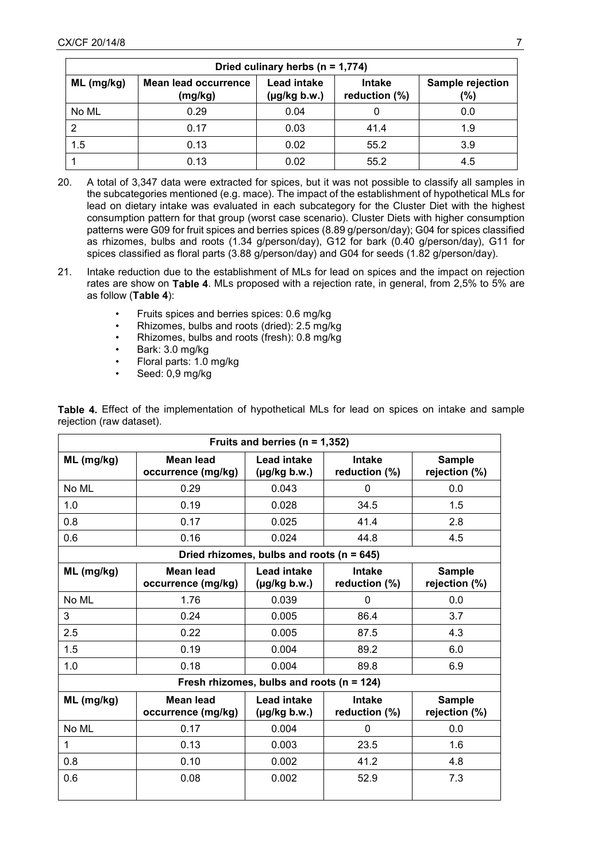| Dried culinary herbs $(n = 1,774)$ |                                        |                                         |                                |                         |  |  |  |  |  |  |  |
|------------------------------------|----------------------------------------|-----------------------------------------|--------------------------------|-------------------------|--|--|--|--|--|--|--|
| $ML$ (mg/kg)                       | <b>Mean lead occurrence</b><br>(mg/kg) | <b>Lead intake</b><br>$(\mu g/kg b.w.)$ | <b>Intake</b><br>reduction (%) | Sample rejection<br>(%) |  |  |  |  |  |  |  |
| No ML                              | 0.29                                   | 0.04                                    |                                | 0.0                     |  |  |  |  |  |  |  |
| 2                                  | 0.17                                   | 0.03                                    | 41.4                           | 1.9                     |  |  |  |  |  |  |  |
| 1.5                                | 0.13                                   | 0.02                                    | 55.2                           | 3.9                     |  |  |  |  |  |  |  |
|                                    | 0.13                                   | 0.02                                    | 55.2                           | 4.5                     |  |  |  |  |  |  |  |

- 20. A total of 3,347 data were extracted for spices, but it was not possible to classify all samples in the subcategories mentioned (e.g. mace). The impact of the establishment of hypothetical MLs for lead on dietary intake was evaluated in each subcategory for the Cluster Diet with the highest consumption pattern for that group (worst case scenario). Cluster Diets with higher consumption patterns were G09 for fruit spices and berries spices (8.89 g/person/day); G04 for spices classified as rhizomes, bulbs and roots (1.34 g/person/day), G12 for bark (0.40 g/person/day), G11 for spices classified as floral parts (3.88 g/person/day) and G04 for seeds (1.82 g/person/day).
- 21. Intake reduction due to the establishment of MLs for lead on spices and the impact on rejection rates are show on **Table 4**. MLs proposed with a rejection rate, in general, from 2,5% to 5% are as follow (**Table 4**):
	- Fruits spices and berries spices: 0.6 mg/kg
	- Rhizomes, bulbs and roots (dried): 2.5 mg/kg
	- Rhizomes, bulbs and roots (fresh): 0.8 mg/kg
	- Bark: 3.0 mg/kg
	- Floral parts: 1.0 mg/kg
	- Seed: 0,9 mg/kg

| Fruits and berries ( $n = 1,352$ ) |                                        |                                               |                                |                                |  |  |  |  |  |
|------------------------------------|----------------------------------------|-----------------------------------------------|--------------------------------|--------------------------------|--|--|--|--|--|
| $ML$ (mg/kg)                       | Mean lead<br>occurrence (mg/kg)        | Lead intake<br>$(\mu g/kg b.w.)$              | <b>Intake</b><br>reduction (%) | <b>Sample</b><br>rejection (%) |  |  |  |  |  |
| No ML                              | 0.29                                   | 0.043                                         | $\Omega$                       | 0.0                            |  |  |  |  |  |
| 1.0                                | 0.19                                   | 0.028                                         | 34.5                           | 1.5                            |  |  |  |  |  |
| 0.8                                | 0.17                                   | 0.025                                         | 41.4                           | 2.8                            |  |  |  |  |  |
| 0.6                                | 0.16                                   | 0.024                                         | 44.8                           | 4.5                            |  |  |  |  |  |
|                                    |                                        | Dried rhizomes, bulbs and roots ( $n = 645$ ) |                                |                                |  |  |  |  |  |
| ML (mg/kg)                         | Mean lead<br>occurrence (mg/kg)        | Lead intake<br>$(\mu g/kg b.w.)$              | <b>Intake</b><br>reduction (%) | <b>Sample</b><br>rejection (%) |  |  |  |  |  |
| No ML                              | 1.76                                   | 0.039                                         | 0                              | 0.0                            |  |  |  |  |  |
| 3                                  | 0.24                                   | 0.005                                         | 86.4                           | 3.7                            |  |  |  |  |  |
| 2.5                                | 0.22                                   | 0.005                                         | 87.5                           | 4.3                            |  |  |  |  |  |
| 1.5                                | 0.19                                   | 0.004                                         | 89.2                           | 6.0                            |  |  |  |  |  |
| 1.0                                | 0.18                                   | 0.004                                         | 89.8                           | 6.9                            |  |  |  |  |  |
|                                    |                                        | Fresh rhizomes, bulbs and roots ( $n = 124$ ) |                                |                                |  |  |  |  |  |
| ML (mg/kg)                         | <b>Mean lead</b><br>occurrence (mg/kg) | <b>Lead intake</b><br>$(\mu g/kg b.w.)$       | <b>Intake</b><br>reduction (%) | <b>Sample</b><br>rejection (%) |  |  |  |  |  |
| No ML                              | 0.17                                   | 0.004                                         | 0                              | 0.0                            |  |  |  |  |  |
| 1                                  | 0.13                                   | 0.003                                         | 23.5                           | 1.6                            |  |  |  |  |  |
| 0.8                                | 0.10                                   | 0.002                                         | 41.2                           | 4.8                            |  |  |  |  |  |
| 0.6                                | 0.08                                   | 0.002                                         | 52.9                           | 7.3                            |  |  |  |  |  |

**Table 4.** Effect of the implementation of hypothetical MLs for lead on spices on intake and sample rejection (raw dataset).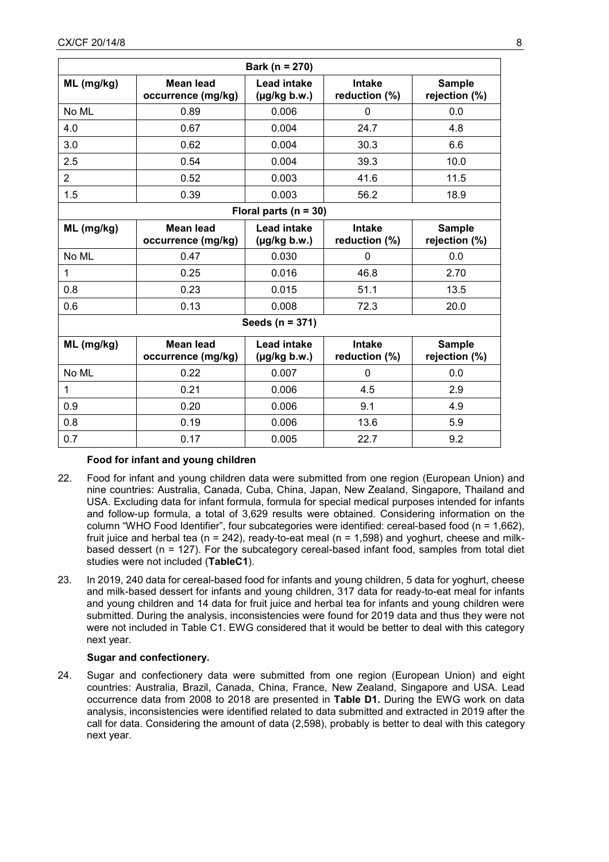|                | Bark (n = 270)                         |                                         |                                |                                |  |  |  |  |  |  |  |
|----------------|----------------------------------------|-----------------------------------------|--------------------------------|--------------------------------|--|--|--|--|--|--|--|
| $ML$ (mg/kg)   | <b>Mean lead</b><br>occurrence (mg/kg) | Lead intake<br>$(\mu g/kg b.w.)$        | <b>Intake</b><br>reduction (%) | <b>Sample</b><br>rejection (%) |  |  |  |  |  |  |  |
| No ML          | 0.89                                   | 0.006                                   | $\mathbf{0}$                   | 0.0                            |  |  |  |  |  |  |  |
| 4.0            | 0.67                                   | 0.004                                   | 24.7                           | 4.8                            |  |  |  |  |  |  |  |
| 3.0            | 0.62                                   | 0.004                                   | 30.3                           | 6.6                            |  |  |  |  |  |  |  |
| 2.5            | 0.54                                   | 0.004                                   | 39.3                           | 10.0                           |  |  |  |  |  |  |  |
| $\overline{2}$ | 0.52                                   | 0.003                                   | 41.6                           | 11.5                           |  |  |  |  |  |  |  |
| 1.5            | 0.39                                   | 0.003                                   | 56.2                           | 18.9                           |  |  |  |  |  |  |  |
|                |                                        | Floral parts ( $n = 30$ )               |                                |                                |  |  |  |  |  |  |  |
| $ML$ (mg/kg)   | <b>Mean lead</b><br>occurrence (mg/kg) | <b>Lead intake</b><br>$(\mu g/kg b.w.)$ | <b>Intake</b><br>reduction (%) | <b>Sample</b><br>rejection (%) |  |  |  |  |  |  |  |
| No ML          | 0.47                                   | 0.030                                   | 0                              | 0.0                            |  |  |  |  |  |  |  |
| $\mathbf{1}$   | 0.25                                   | 0.016                                   | 46.8                           | 2.70                           |  |  |  |  |  |  |  |
| 0.8            | 0.23                                   | 0.015                                   | 51.1                           | 13.5                           |  |  |  |  |  |  |  |
| 0.6            | 0.13                                   | 0.008                                   | 72.3                           | 20.0                           |  |  |  |  |  |  |  |
|                |                                        | Seeds (n = 371)                         |                                |                                |  |  |  |  |  |  |  |
| ML (mg/kg)     | <b>Mean lead</b><br>occurrence (mg/kg) | <b>Lead intake</b><br>$(\mu g/kg b.w.)$ | <b>Intake</b><br>reduction (%) | <b>Sample</b><br>rejection (%) |  |  |  |  |  |  |  |
| No ML          | 0.22                                   | 0.007                                   | 0                              | 0.0                            |  |  |  |  |  |  |  |
| $\mathbf{1}$   | 0.21                                   | 0.006                                   | 4.5                            | 2.9                            |  |  |  |  |  |  |  |
| 0.9            | 0.20                                   | 0.006                                   | 9.1                            | 4.9                            |  |  |  |  |  |  |  |
| 0.8            | 0.19                                   | 0.006                                   | 13.6                           | 5.9                            |  |  |  |  |  |  |  |
| 0.7            | 0.17                                   | 0.005                                   | 22.7                           | 9.2                            |  |  |  |  |  |  |  |

# **Food for infant and young children**

- 22. Food for infant and young children data were submitted from one region (European Union) and nine countries: Australia, Canada, Cuba, China, Japan, New Zealand, Singapore, Thailand and USA. Excluding data for infant formula, formula for special medical purposes intended for infants and follow-up formula, a total of 3,629 results were obtained. Considering information on the column "WHO Food Identifier", four subcategories were identified: cereal-based food (n = 1,662), fruit juice and herbal tea ( $n = 242$ ), ready-to-eat meal ( $n = 1,598$ ) and yoghurt, cheese and milkbased dessert (n = 127). For the subcategory cereal-based infant food, samples from total diet studies were not included (**TableC1**).
- 23. In 2019, 240 data for cereal-based food for infants and young children, 5 data for yoghurt, cheese and milk-based dessert for infants and young children, 317 data for ready-to-eat meal for infants and young children and 14 data for fruit juice and herbal tea for infants and young children were submitted. During the analysis, inconsistencies were found for 2019 data and thus they were not were not included in Table C1. EWG considered that it would be better to deal with this category next year.

# **Sugar and confectionery.**

24. Sugar and confectionery data were submitted from one region (European Union) and eight countries: Australia, Brazil, Canada, China, France, New Zealand, Singapore and USA. Lead occurrence data from 2008 to 2018 are presented in **Table D1.** During the EWG work on data analysis, inconsistencies were identified related to data submitted and extracted in 2019 after the call for data. Considering the amount of data (2,598), probably is better to deal with this category next year.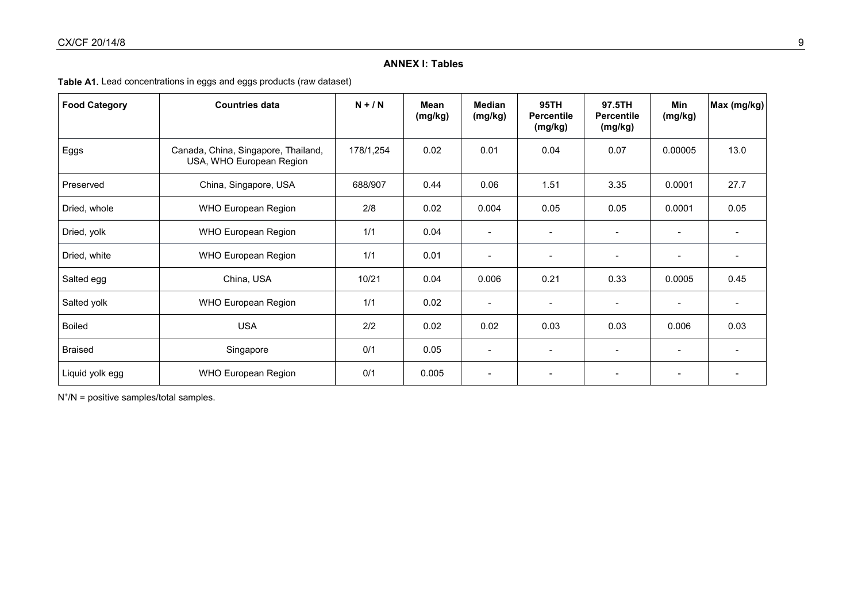# **ANNEX I: Tables**

# **Table A1.** Lead concentrations in eggs and eggs products (raw dataset)

| <b>Food Category</b> | <b>Countries data</b>                                           | $N + / N$ | Mean<br>(mg/kg) | <b>Median</b><br>(mg/kg) | 95TH<br><b>Percentile</b><br>(mg/kg) | 97.5TH<br><b>Percentile</b><br>(mg/kg) | Min<br>(mg/kg)           | Max (mg/kg) |
|----------------------|-----------------------------------------------------------------|-----------|-----------------|--------------------------|--------------------------------------|----------------------------------------|--------------------------|-------------|
| Eggs                 | Canada, China, Singapore, Thailand,<br>USA, WHO European Region | 178/1,254 | 0.02            | 0.01                     | 0.04                                 | 0.07                                   | 0.00005                  | 13.0        |
| Preserved            | China, Singapore, USA                                           | 688/907   | 0.44            | 0.06                     | 1.51                                 | 3.35                                   | 0.0001                   | 27.7        |
| Dried, whole         | <b>WHO European Region</b>                                      | 2/8       | 0.02            | 0.004                    | 0.05                                 | 0.05                                   | 0.0001                   | 0.05        |
| Dried, yolk          | <b>WHO European Region</b>                                      | 1/1       | 0.04            |                          | $\overline{\phantom{a}}$             | $\blacksquare$                         |                          |             |
| Dried, white         | <b>WHO European Region</b>                                      | 1/1       | 0.01            | $\overline{\phantom{a}}$ | $\overline{\phantom{a}}$             | $\overline{\phantom{a}}$               | $\overline{\phantom{a}}$ |             |
| Salted egg           | China, USA                                                      | 10/21     | 0.04            | 0.006                    | 0.21                                 | 0.33                                   | 0.0005                   | 0.45        |
| Salted yolk          | <b>WHO European Region</b>                                      | 1/1       | 0.02            | $\overline{\phantom{a}}$ | $\overline{\phantom{a}}$             |                                        | $\overline{\phantom{a}}$ |             |
| <b>Boiled</b>        | <b>USA</b>                                                      | 2/2       | 0.02            | 0.02                     | 0.03                                 | 0.03                                   | 0.006                    | 0.03        |
| <b>Braised</b>       | Singapore                                                       | 0/1       | 0.05            |                          |                                      |                                        |                          |             |
| Liquid yolk egg      | <b>WHO European Region</b>                                      | 0/1       | 0.005           | $\overline{\phantom{0}}$ |                                      |                                        |                          |             |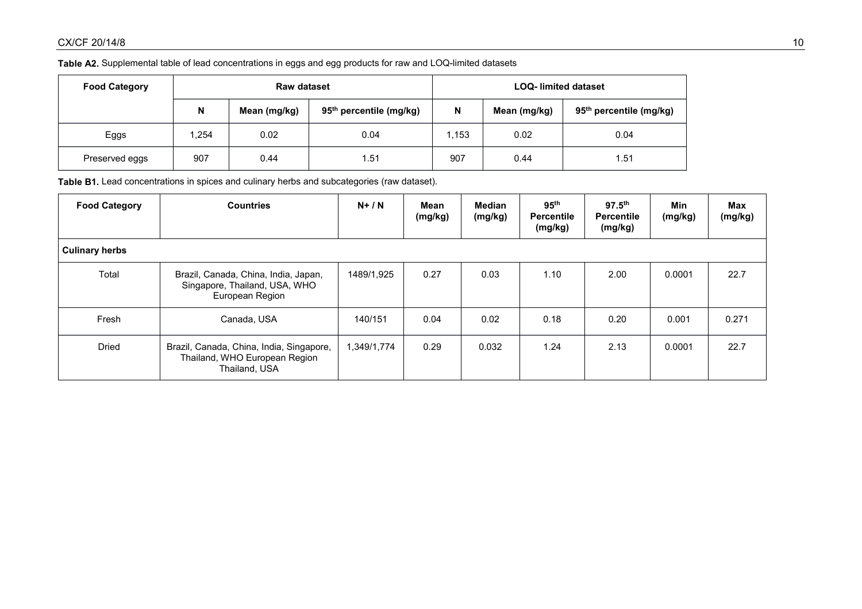# **Table A2.** Supplemental table of lead concentrations in eggs and egg products for raw and LOQ-limited datasets

| <b>Food Category</b> | <b>Raw dataset</b> |              |                                     |       | <b>LOQ-</b> limited dataset |                                     |  |  |
|----------------------|--------------------|--------------|-------------------------------------|-------|-----------------------------|-------------------------------------|--|--|
|                      | N                  | Mean (mg/kg) | 95 <sup>th</sup> percentile (mg/kg) | N     | Mean (mg/kg)                | 95 <sup>th</sup> percentile (mg/kg) |  |  |
| Eggs                 | .254               | 0.02         | 0.04                                | 1.153 | 0.02                        | 0.04                                |  |  |
| Preserved eggs       | 907                | 0.44         | 51                                  | 907   | 0.44                        | . .51                               |  |  |

**Table B1.** Lead concentrations in spices and culinary herbs and subcategories (raw dataset).

| <b>Food Category</b>  | <b>Countries</b>                                                                           | $N+/N$      | Mean<br>(mg/kg) | Median<br>(mg/kg) | 95 <sup>th</sup><br><b>Percentile</b><br>(mg/kg) | $97.5^{\text{th}}$<br><b>Percentile</b><br>(mg/kg) | Min<br>(mg/kg) | Max<br>(mg/kg) |
|-----------------------|--------------------------------------------------------------------------------------------|-------------|-----------------|-------------------|--------------------------------------------------|----------------------------------------------------|----------------|----------------|
| <b>Culinary herbs</b> |                                                                                            |             |                 |                   |                                                  |                                                    |                |                |
| Total                 | Brazil, Canada, China, India, Japan,<br>Singapore, Thailand, USA, WHO<br>European Region   | 1489/1,925  | 0.27            | 0.03              | 1.10                                             | 2.00                                               | 0.0001         | 22.7           |
| Fresh                 | Canada, USA                                                                                | 140/151     | 0.04            | 0.02              | 0.18                                             | 0.20                                               | 0.001          | 0.271          |
| <b>Dried</b>          | Brazil, Canada, China, India, Singapore,<br>Thailand, WHO European Region<br>Thailand, USA | 1,349/1,774 | 0.29            | 0.032             | 1.24                                             | 2.13                                               | 0.0001         | 22.7           |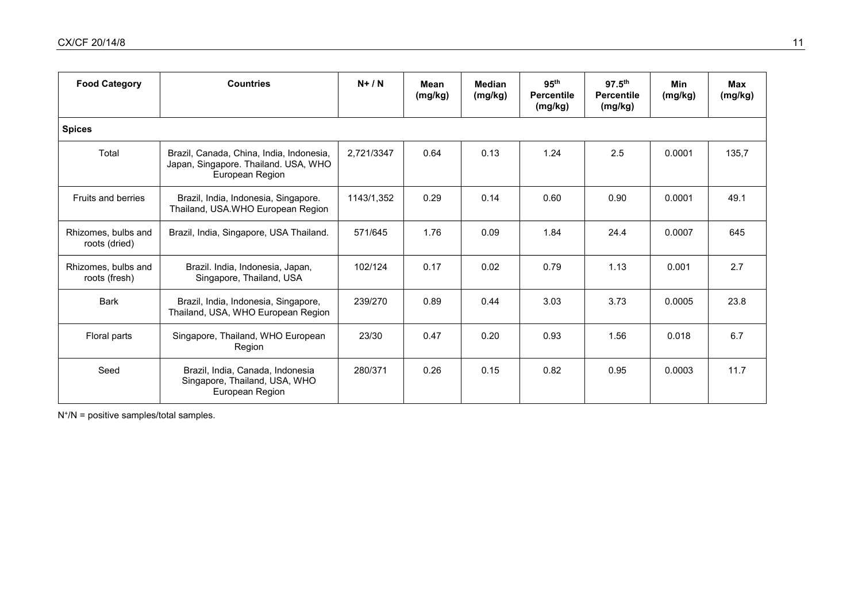| <b>Food Category</b>                 | <b>Countries</b>                                                                                    | $N+/N$     | <b>Mean</b><br>(mg/kg) | <b>Median</b><br>(mg/kg) | 95 <sup>th</sup><br><b>Percentile</b><br>(mg/kg) | $97.5^{th}$<br><b>Percentile</b><br>(mg/kg) | <b>Min</b><br>(mg/kg) | <b>Max</b><br>(mg/kg) |
|--------------------------------------|-----------------------------------------------------------------------------------------------------|------------|------------------------|--------------------------|--------------------------------------------------|---------------------------------------------|-----------------------|-----------------------|
| <b>Spices</b>                        |                                                                                                     |            |                        |                          |                                                  |                                             |                       |                       |
| Total                                | Brazil, Canada, China, India, Indonesia,<br>Japan, Singapore. Thailand. USA, WHO<br>European Region | 2.721/3347 | 0.64                   | 0.13                     | 1.24                                             | 2.5                                         | 0.0001                | 135.7                 |
| <b>Fruits and berries</b>            | Brazil, India, Indonesia, Singapore.<br>Thailand, USA.WHO European Region                           | 1143/1,352 | 0.29                   | 0.14                     | 0.60                                             | 0.90                                        | 0.0001                | 49.1                  |
| Rhizomes, bulbs and<br>roots (dried) | Brazil, India, Singapore, USA Thailand.                                                             | 571/645    | 1.76                   | 0.09                     | 1.84                                             | 24.4                                        | 0.0007                | 645                   |
| Rhizomes, bulbs and<br>roots (fresh) | Brazil. India, Indonesia, Japan,<br>Singapore, Thailand, USA                                        | 102/124    | 0.17                   | 0.02                     | 0.79                                             | 1.13                                        | 0.001                 | 2.7                   |
| <b>Bark</b>                          | Brazil, India, Indonesia, Singapore,<br>Thailand, USA, WHO European Region                          | 239/270    | 0.89                   | 0.44                     | 3.03                                             | 3.73                                        | 0.0005                | 23.8                  |
| Floral parts                         | Singapore, Thailand, WHO European<br>Region                                                         | 23/30      | 0.47                   | 0.20                     | 0.93                                             | 1.56                                        | 0.018                 | 6.7                   |
| Seed                                 | Brazil, India, Canada, Indonesia<br>Singapore, Thailand, USA, WHO<br>European Region                | 280/371    | 0.26                   | 0.15                     | 0.82                                             | 0.95                                        | 0.0003                | 11.7                  |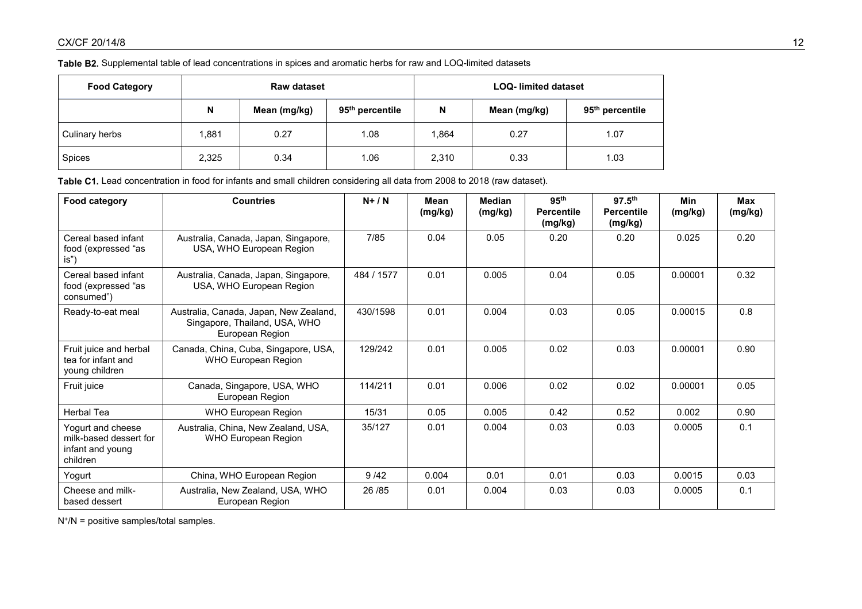# **Table B2.** Supplemental table of lead concentrations in spices and aromatic herbs for raw and LOQ-limited datasets

| <b>Food Category</b> |       | <b>Raw dataset</b> |                             |       | <b>LOQ-</b> limited dataset |                             |  |  |
|----------------------|-------|--------------------|-----------------------------|-------|-----------------------------|-----------------------------|--|--|
|                      | N     | Mean (mg/kg)       | 95 <sup>th</sup> percentile | N     | Mean (mg/kg)                | 95 <sup>th</sup> percentile |  |  |
| Culinary herbs       | 1,881 | 0.27               | 1.08                        | .864  | 0.27                        | 1.07                        |  |  |
| Spices               | 2,325 | 0.34               | 1.06                        | 2,310 | 0.33                        | 1.03                        |  |  |

**Table C1.** Lead concentration in food for infants and small children considering all data from 2008 to 2018 (raw dataset).

| Food category                                                               | <b>Countries</b>                                                                           | $N+ / N$   | Mean<br>(mg/kg) | <b>Median</b><br>(mg/kg) | 95 <sup>th</sup><br><b>Percentile</b><br>(mg/kg) | $97.5^{\text{th}}$<br><b>Percentile</b><br>(mg/kg) | <b>Min</b><br>(mg/kg) | <b>Max</b><br>(mg/kg) |
|-----------------------------------------------------------------------------|--------------------------------------------------------------------------------------------|------------|-----------------|--------------------------|--------------------------------------------------|----------------------------------------------------|-----------------------|-----------------------|
| Cereal based infant<br>food (expressed "as<br>is")                          | Australia, Canada, Japan, Singapore,<br>USA, WHO European Region                           | 7/85       | 0.04            | 0.05                     | 0.20                                             | 0.20                                               | 0.025                 | 0.20                  |
| Cereal based infant<br>food (expressed "as<br>consumed")                    | Australia, Canada, Japan, Singapore,<br>USA, WHO European Region                           | 484 / 1577 | 0.01            | 0.005                    | 0.04                                             | 0.05                                               | 0.00001               | 0.32                  |
| Ready-to-eat meal                                                           | Australia, Canada, Japan, New Zealand,<br>Singapore, Thailand, USA, WHO<br>European Region |            | 0.01            | 0.004                    | 0.03                                             | 0.05                                               | 0.00015               | 0.8                   |
| Fruit juice and herbal<br>tea for infant and<br>young children              | Canada, China, Cuba, Singapore, USA,<br><b>WHO European Region</b>                         | 129/242    | 0.01            | 0.005                    | 0.02                                             | 0.03                                               | 0.00001               | 0.90                  |
| Fruit juice                                                                 | Canada, Singapore, USA, WHO<br>European Region                                             | 114/211    | 0.01            | 0.006                    | 0.02                                             | 0.02                                               | 0.00001               | 0.05                  |
| <b>Herbal Tea</b>                                                           | <b>WHO European Region</b>                                                                 | 15/31      | 0.05            | 0.005                    | 0.42                                             | 0.52                                               | 0.002                 | 0.90                  |
| Yogurt and cheese<br>milk-based dessert for<br>infant and young<br>children | Australia, China, New Zealand, USA,<br>WHO European Region                                 | 35/127     | 0.01            | 0.004                    | 0.03                                             | 0.03                                               | 0.0005                | 0.1                   |
| Yogurt                                                                      | China, WHO European Region                                                                 | 9/42       | 0.004           | 0.01                     | 0.01                                             | 0.03                                               | 0.0015                | 0.03                  |
| Cheese and milk-<br>based dessert                                           | Australia, New Zealand, USA, WHO<br>European Region                                        | 26 / 85    | 0.01            | 0.004                    | 0.03                                             | 0.03                                               | 0.0005                | 0.1                   |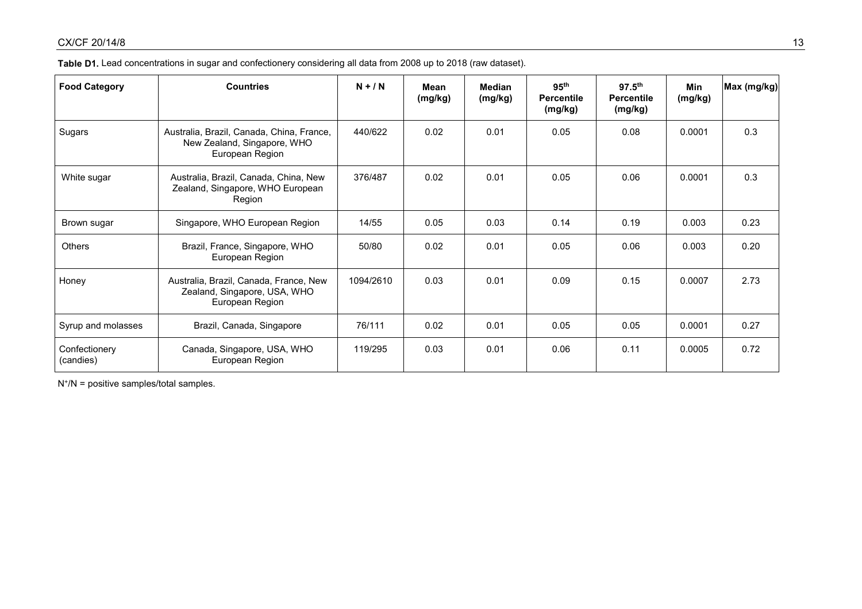| <b>Food Category</b>       | <b>Countries</b>                                                                            | $N + / N$ | Mean<br>(mg/kg) | Median<br>(mg/kg) | 95 <sup>th</sup><br><b>Percentile</b><br>(mg/kg) | 97.5 <sup>th</sup><br><b>Percentile</b><br>(mg/kg) | <b>Min</b><br>(mg/kg) | Max (mg/kg) |
|----------------------------|---------------------------------------------------------------------------------------------|-----------|-----------------|-------------------|--------------------------------------------------|----------------------------------------------------|-----------------------|-------------|
| Sugars                     | Australia, Brazil, Canada, China, France,<br>New Zealand, Singapore, WHO<br>European Region | 440/622   | 0.02            | 0.01              | 0.05                                             | 0.08                                               | 0.0001                | 0.3         |
| White sugar                | Australia, Brazil, Canada, China, New<br>Zealand, Singapore, WHO European<br>Region         | 376/487   | 0.02            | 0.01              | 0.05                                             | 0.06                                               | 0.0001                | 0.3         |
| Brown sugar                | Singapore, WHO European Region                                                              | 14/55     | 0.05            | 0.03              | 0.14                                             | 0.19                                               | 0.003                 | 0.23        |
| <b>Others</b>              | Brazil, France, Singapore, WHO<br>European Region                                           | 50/80     | 0.02            | 0.01              | 0.05                                             | 0.06                                               | 0.003                 | 0.20        |
| Honey                      | Australia, Brazil, Canada, France, New<br>Zealand, Singapore, USA, WHO<br>European Region   | 1094/2610 | 0.03            | 0.01              | 0.09                                             | 0.15                                               | 0.0007                | 2.73        |
| Syrup and molasses         | Brazil, Canada, Singapore                                                                   | 76/111    | 0.02            | 0.01              | 0.05                                             | 0.05                                               | 0.0001                | 0.27        |
| Confectionery<br>(candies) | Canada, Singapore, USA, WHO<br>European Region                                              | 119/295   | 0.03            | 0.01              | 0.06                                             | 0.11                                               | 0.0005                | 0.72        |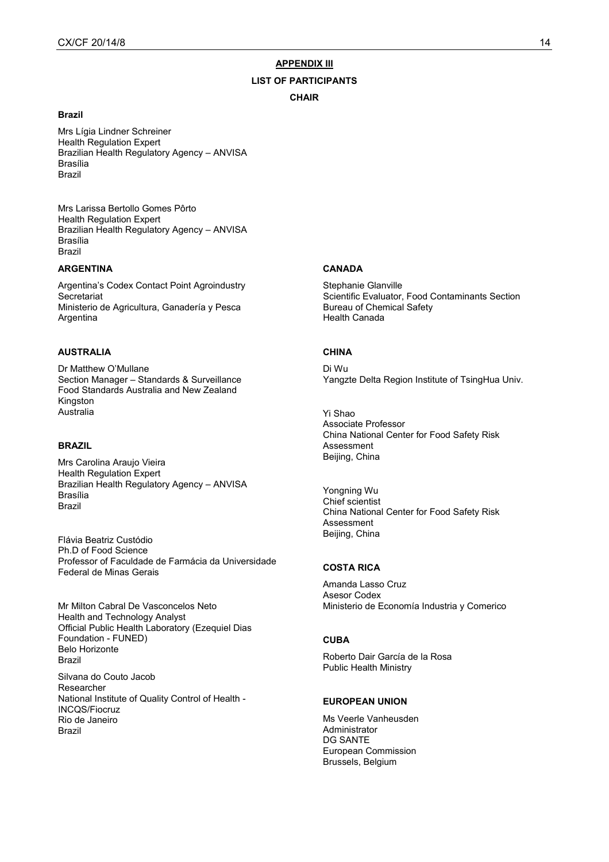#### **APPENDIX III**

#### **LIST OF PARTICIPANTS**

#### **CHAIR**

### **Brazil**

Mrs Lígia Lindner Schreiner Health Regulation Expert Brazilian Health Regulatory Agency – ANVISA Brasília Brazil

Mrs Larissa Bertollo Gomes Pôrto Health Regulation Expert Brazilian Health Regulatory Agency – ANVISA Brasília Brazil

### **ARGENTINA**

Argentina's Codex Contact Point Agroindustry **Secretariat** Ministerio de Agricultura, Ganadería y Pesca Argentina

### **AUSTRALIA**

Dr Matthew O'Mullane Section Manager – Standards & Surveillance Food Standards Australia and New Zealand Kingston Australia

### **BRAZIL**

Mrs Carolina Araujo Vieira Health Regulation Expert Brazilian Health Regulatory Agency – ANVISA Brasília Brazil

Flávia Beatriz Custódio Ph.D of Food Science Professor of Faculdade de Farmácia da Universidade Federal de Minas Gerais

Mr Milton Cabral De Vasconcelos Neto Health and Technology Analyst Official Public Health Laboratory (Ezequiel Dias Foundation - FUNED) Belo Horizonte Brazil Silvana do Couto Jacob Researcher National Institute of Quality Control of Health -

INCQS/Fiocruz Rio de Janeiro Brazil

#### **CANADA**

Stephanie Glanville Scientific Evaluator, Food Contaminants Section Bureau of Chemical Safety Health Canada

### **CHINA**

Di Wu Yangzte Delta Region Institute of TsingHua Univ.

Yi Shao Associate Professor China National Center for Food Safety Risk Assessment Beijing, China

Yongning Wu Chief scientist China National Center for Food Safety Risk Assessment Beijing, China

## **COSTA RICA**

Amanda Lasso Cruz Asesor Codex Ministerio de Economía Industria y Comerico

#### **CUBA**

Roberto Dair García de la Rosa Public Health Ministry

### **EUROPEAN UNION**

Ms Veerle Vanheusden Administrator DG SANTE European Commission Brussels, Belgium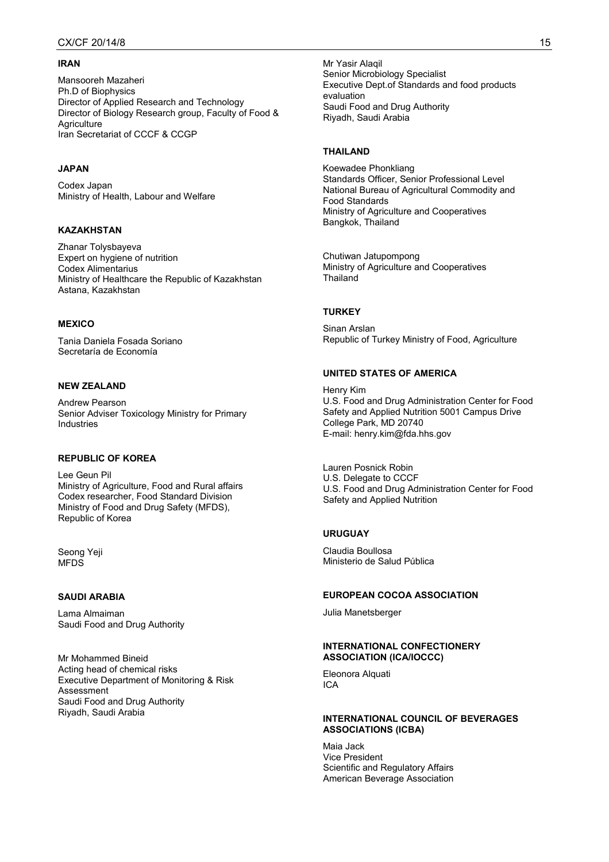### **IRAN**

Mansooreh Mazaheri Ph.D of Biophysics Director of Applied Research and Technology Director of Biology Research group, Faculty of Food & **Agriculture** Iran Secretariat of CCCF & CCGP

### **JAPAN**

Codex Japan Ministry of Health, Labour and Welfare

### **KAZAKHSTAN**

Zhanar Tolysbayeva Expert on hygiene of nutrition Codex Alimentarius Ministry of Healthcare the Republic of Kazakhstan Astana, Kazakhstan

#### **MEXICO**

Tania Daniela Fosada Soriano Secretaría de Economía

## **NEW ZEALAND**

Andrew Pearson Senior Adviser Toxicology Ministry for Primary Industries

### **REPUBLIC OF KOREA**

Lee Geun Pil Ministry of Agriculture, Food and Rural affairs Codex researcher, Food Standard Division Ministry of Food and Drug Safety (MFDS), Republic of Korea

Seong Yeji MFDS

#### **SAUDI ARABIA**

Lama Almaiman Saudi Food and Drug Authority

Mr Mohammed Bineid Acting head of chemical risks Executive Department of Monitoring & Risk Assessment Saudi Food and Drug Authority Riyadh, Saudi Arabia

Mr Yasir Alaqil Senior Microbiology Specialist Executive Dept.of Standards and food products evaluation Saudi Food and Drug Authority Riyadh, Saudi Arabia

### **THAILAND**

Koewadee Phonkliang Standards Officer, Senior Professional Level National Bureau of Agricultural Commodity and Food Standards Ministry of Agriculture and Cooperatives Bangkok, Thailand

Chutiwan Jatupompong Ministry of Agriculture and Cooperatives **Thailand** 

#### **TURKEY**

Sinan Arslan Republic of Turkey Ministry of Food, Agriculture

### **UNITED STATES OF AMERICA**

Henry Kim U.S. Food and Drug Administration Center for Food Safety and Applied Nutrition 5001 Campus Drive College Park, MD 20740 E-mail: henry.kim@fda.hhs.gov

Lauren Posnick Robin U.S. Delegate to CCCF U.S. Food and Drug Administration Center for Food Safety and Applied Nutrition

### **URUGUAY**

Claudia Boullosa Ministerio de Salud Pública

#### **EUROPEAN COCOA ASSOCIATION**

Julia Manetsberger

#### **INTERNATIONAL CONFECTIONERY ASSOCIATION (ICA/IOCCC)**

Eleonora Alquati ICA

### **INTERNATIONAL COUNCIL OF BEVERAGES ASSOCIATIONS (ICBA)**

Maia Jack Vice President Scientific and Regulatory Affairs American Beverage Association